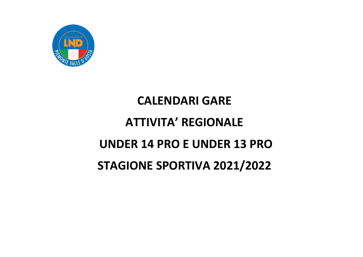

## **CALENDARI GARE**

# **ATTIVITA' REGIONALE**

#### **UNDER 14 PRO E UNDER 13 PRO**

### **STAGIONE SPORTIVA 2021/2022**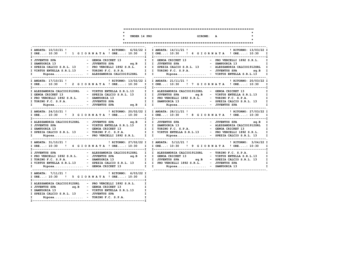|                                                                                                                                                                                                                                                                                                                                                               |  | * UNDER 14 PRO | GIRONE: A |  |  |              |
|---------------------------------------------------------------------------------------------------------------------------------------------------------------------------------------------------------------------------------------------------------------------------------------------------------------------------------------------------------------|--|----------------|-----------|--|--|--------------|
|                                                                                                                                                                                                                                                                                                                                                               |  |                |           |  |  |              |
| I ORE: 10:30 ! 1 G I O R N A T A ! ORE: 10:30 I I ORE: 10:30 ! 6 G I O R N A T A ! ORE: 10:30 I                                                                                                                                                                                                                                                               |  |                |           |  |  |              |
|                                                                                                                                                                                                                                                                                                                                                               |  |                |           |  |  |              |
| I ORE: 10:30 ! 2 G I O R N A T A ! ORE: 10:30 I I ORE: 10:30 ! 7 G I O R N A T A ! ORE: 10:30                                                                                                                                                                                                                                                                 |  |                |           |  |  | I            |
| I ALESSANDRIA CALCIO1912SRL - VIRTUS ENTELLA S.R.L.13 I I ALESSANDRIA CALCIO1912SRL - GENOA CRICKET 13<br>1 GENOA CRICKET 13 - SPEZIA CALCIO S.R.L. 13 I I JUVENTUS SPA<br>I PRO VERCELLI 1892 S.R.L. - SAMPDORIA 13 I I PRO VERCELLI 1892 S.R.L. - TORINO F.C. S.P.A. I<br>I TORINO F.C. S.P.A. - JUVENTUS SPA I I SAMPDORIA 13 - SPEZIA CA                  |  |                |           |  |  | I            |
|                                                                                                                                                                                                                                                                                                                                                               |  |                |           |  |  |              |
|                                                                                                                                                                                                                                                                                                                                                               |  |                |           |  |  |              |
|                                                                                                                                                                                                                                                                                                                                                               |  |                |           |  |  |              |
| I JUVENTUS SPA                         ALESSANDRIA CALCIO1912SRL     I   ALESSANDRIA CALCIO1912SRL       TORINO F.C. S.P.A.<br>1 1892 S.R.L. - AMERICAN CARLISTER (ALCORATION 1 1 1892 S.R.L. 13 1 1892 S.R.L. 13 1 1892 S.R.L. 13 1 1892 S.R.L. 13 1 1892 S.R.L. 13 1 1892 S.R.L. 13 1 1893 - SPEZIA CALCIO S.R.L. 13 1 1892 S.R.L. 13 1 1893 - SPEZIA CALCI |  |                |           |  |  | $\mathbf{I}$ |
| I ORE: 10:30 ! 5 G I O R N A T A ! ORE: 10:30 I                                                                                                                                                                                                                                                                                                               |  |                |           |  |  |              |
| I ALESSANDRIA CALCIO1912SRL - PRO VERCELLI 1892 S.R.L.                                                                                                                                                                                                                                                                                                        |  |                |           |  |  |              |

**I JUVENTUS SPA sq.B - GENOA CRICKET 13 I I SAMPDORIA 13 - VIRTUS ENTELLA S.R.L.13 I I SAMPDORIA 13**<br> **I SPEZIA CALCIO S.R.L. 13** - **JURETUS ENTELLA S.R.L. 13** I<br> **I** Rinosa **I** I TORINO F C. S.P.A. **I Riposa................ - TORINO F.C. S.P.A. I I--------------------------------------------------------------I**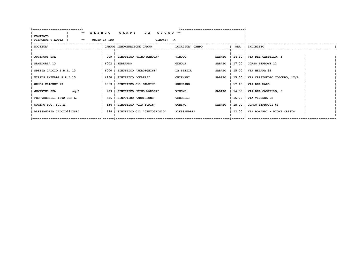|                             | ** ELENCO CAMPI                   | DA GIOCO <sup>**</sup>         |                                               |  |
|-----------------------------|-----------------------------------|--------------------------------|-----------------------------------------------|--|
| COMITATO                    |                                   |                                |                                               |  |
| PIEMONTE V.AOSTA   **       | UNDER 14 PRO                      | GIRONE: A                      |                                               |  |
| <b>SOCIETA'</b>             | CAMPO! DENOMINAZIONE CAMPO        | LOCALITA' CAMPO                | ORA   INDIRIZZO                               |  |
|                             |                                   |                                |                                               |  |
| <b>JUVENTUS SPA</b>         | 909   SINTETICO "DINO MAROLA"     | <b>VINOVO</b>                  | SABATO   14:30   VIA DEL CASTELLO, 3          |  |
| SAMPDORIA 13                | 6002   FERRANDO                   | <b>GENOVA</b>                  | SABATO   17:00   CORSO PERRONE 12             |  |
| SPEZIA CALCIO S.R.L. 13     | 6000   SINTETICO "FERDEGHINI"     | LA SPEZIA<br><b>SABATO</b>     | 15:00   VIA MELARA 91                         |  |
|                             |                                   |                                |                                               |  |
| VIRTUS ENTELLA S.R.L.13     | 4250   SINTETICO "CELERI"         | <b>CHIAVARI</b>                | SABATO   15:00   VIA CRISTOFORO COLOMBO, 12/B |  |
| <b>GENOA CRICKET 13</b>     | 9063   SINTETICO C11 GAMBINO      | <b>ARENZANO</b>                | $1$ 17:15 $1$ VIA DEL MARE                    |  |
| sq.B<br><b>JUVENTUS SPA</b> | 909   SINTETICO "DINO MAROLA"     | <b>VINOVO</b><br><b>SABATO</b> | $ 14:30 $ VIA DEL CASTELLO, 3                 |  |
|                             |                                   |                                |                                               |  |
| PRO VERCELLI 1892 S.R.L.    | 586   SINTETICO "ARDISSONE"       | VERCELLI                       | 15:00   VIA VICENZA 22                        |  |
| TORINO F.C. S.P.A.          | 636   SINTETICO "CIT TURIN"       | TORINO<br><b>SABATO</b>        | $1\,15:00$   CORSO FERRUCCI 63                |  |
|                             | 698   SINTETICO C11 "CENTOGRIGIO" |                                | 12:00   VIA BONARDI - RIONE CRISTO            |  |
| ALESSANDRIA CALCIO1912SRL   |                                   | <b>ALESSANDRIA</b>             |                                               |  |
|                             |                                   |                                |                                               |  |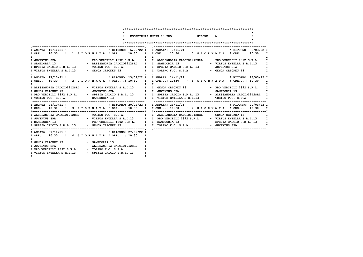#### **\*\*\*\*\*\*\*\*\*\*\*\*\*\*\*\*\*\*\*\*\*\*\*\*\*\*\*\*\*\*\*\*\*\*\*\*\*\*\*\*\*\*\*\*\*\*\*\*\*\*\*\*\*\*\*\*\*\*\*\*\*\*\*\*\*\*\*\*\*\*\*\***

**I--------------------------------------------------------------I**

**\* \* \* ESORDIENTI UNDER 13 PRO GIRONE: A \***

 **\* \* \*\*\*\*\*\*\*\*\*\*\*\*\*\*\*\*\*\*\*\*\*\*\*\*\*\*\*\*\*\*\*\*\*\*\*\*\*\*\*\*\*\*\*\*\*\*\*\*\*\*\*\*\*\*\*\*\*\*\*\*\*\*\*\*\*\*\*\*\*\*\*\***

|                                                                                          | I ORE: 10:30 ! 1 G I O R N A T A ! ORE: 10:30 I I ORE: 10:30 ! 5 G I O R N A T A ! ORE: 10:30 I                                                                                                                                                                                                                             |
|------------------------------------------------------------------------------------------|-----------------------------------------------------------------------------------------------------------------------------------------------------------------------------------------------------------------------------------------------------------------------------------------------------------------------------|
|                                                                                          | I JUVENTUS SPA                         PRO VERCELLI 1892 S.R.L.     I   ALESSANDRIA CALCIO1912SRL         PRO VERCELLI 1892 S.R.L.   I<br>$\mathbf I$<br>$\mathbf{I}$<br>$\mathbf I$                                                                                                                                        |
|                                                                                          | I ORE: 10:30 ! 2 GIORNATA ! ORE: 10:30 I I ORE: 10:30 ! 6 GIORNATA ! ORE: 10:30 I                                                                                                                                                                                                                                           |
|                                                                                          | T ALESSANDRIA CALCIO1912SRL - VIRTUS ENTELLA S.R.L.13 TO TO GENOA CRICKET 13 - PRO VERCELLI 1892 S.R.L. TO TO TO TO TO THE TO TO TO THE TO TO TO THE TO TO THE TO TO THE TO TO THE TO TO THE TO TO THE TO TO THE TO THE TO THE<br>I TORINO F.C. S.P.A. - SAMPDORIA 13 1 I VIRTUS ENTELLA S.R.L.13 - TORINO F.C. S.P.A.<br>I |
|                                                                                          | I ORE: 10:30 ! 3 G I OR N A T A ! ORE: 10:30 I I ORE: 10:30 ! 7 G I OR N A T A ! ORE: 10:30 I                                                                                                                                                                                                                               |
|                                                                                          | I ALESSANDRIA CALCIO1912SRL - TORINO F.C. S.P.A.     I I ALESSANDRIA CALCIO1912SRL - GENOA CRICKET 13<br>$\mathbf I$<br>I<br>I SPEZIA CALCIO S.R.L. 13 - GENOA CRICKET 13 I TORINO F.C. S.P.A. - JUVENTUS SPA<br>$\mathbf I$                                                                                                |
| I ORE: 10:30 ! 4 G I OR N A T A ! ORE: 10:30 I                                           |                                                                                                                                                                                                                                                                                                                             |
| I GENOA CRICKET 13 - SAMPDORIA 13<br>I VIRTUS ENTELLA S.R.L.13 - SPEZIA CALCIO S.R.L. 13 | $\mathbf I$<br>I<br>$\mathbf{I}$                                                                                                                                                                                                                                                                                            |
|                                                                                          |                                                                                                                                                                                                                                                                                                                             |